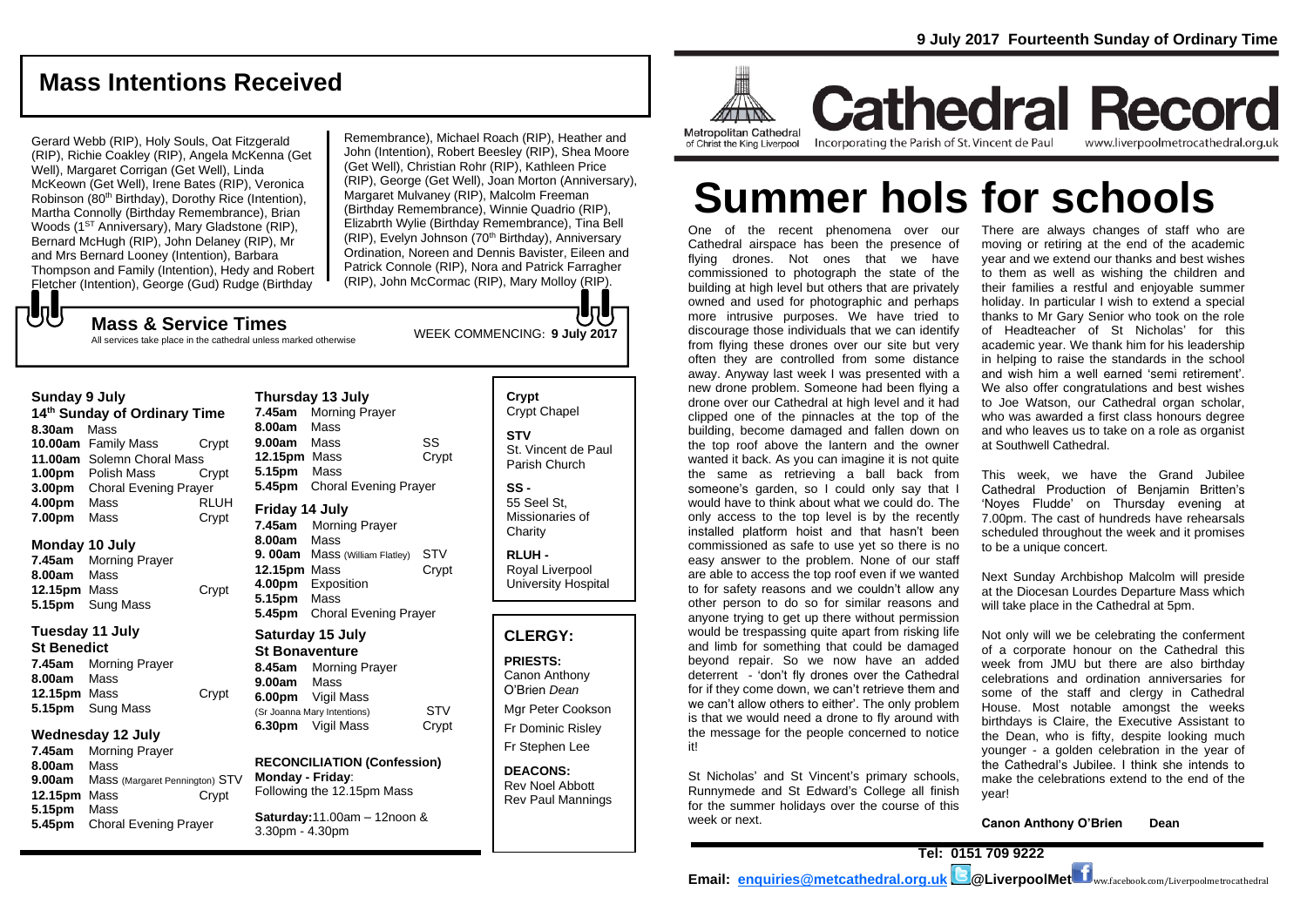## **Mass Intentions Received**

Gerard Webb (RIP), Holy Souls, Oat Fitzgerald (RIP), Richie Coakley (RIP), Angela McKenna (Get Well), Margaret Corrigan (Get Well), Linda McKeown (Get Well), Irene Bates (RIP), Veronica Robinson (80<sup>th</sup> Birthday), Dorothy Rice (Intention), Martha Connolly (Birthday Remembrance), Brian Woods (1<sup>ST</sup> Anniversary), Mary Gladstone (RIP), Bernard McHugh (RIP), John Delaney (RIP), Mr and Mrs Bernard Looney (Intention), Barbara Thompson and Family (Intention), Hedy and Robert Fletcher (Intention), George (Gud) Rudge (Birthday

Remembrance), Michael Roach (RIP), Heather and John (Intention), Robert Beesley (RIP), Shea Moore (Get Well), Christian Rohr (RIP), Kathleen Price (RIP), George (Get Well), Joan Morton (Anniversary), Margaret Mulvaney (RIP), Malcolm Freeman (Birthday Remembrance), Winnie Quadrio (RIP), Elizabrth Wylie (Birthday Remembrance), Tina Bell (RIP), Evelyn Johnson (70<sup>th</sup> Birthday), Anniversary Ordination, Noreen and Dennis Bavister, Eileen and Patrick Connole (RIP), Nora and Patrick Farragher (RIP), John McCormac (RIP), Mary Molloy (RIP).

もし

**Sunday 9 July** 

WEEK COMMENCING: **<sup>9</sup> July 2017 Mass & Service Times** All services take place in the cathedral unless marked otherwise

| <b>Suliuay 9 July</b> |                                          |                            |       |  |
|-----------------------|------------------------------------------|----------------------------|-------|--|
|                       | 14 <sup>th</sup> Sunday of Ordinary Time |                            |       |  |
|                       | 8.30am Mass                              |                            |       |  |
|                       |                                          | 10.00am Family Mass        | Crypt |  |
|                       |                                          | 11.00am Solemn Choral Mass |       |  |
|                       |                                          | <b>1.00pm</b> Polish Mass  | Crypt |  |
|                       | $200-$                                   | Charol Evening Drougs      |       |  |

**3.00pm** Choral Evening Prayer **4.00pm** Mass RLUH **7.00pm** Mass Crypt

#### **Monday 10 July**

**7.45am** Morning Prayer **8.00am** Mass **12.15pm** Mass Crypt **5.15pm** Sung Mass

#### **Tuesday 11 July**

**St Benedict 7.45am** Morning Prayer **8.00am** Mass **12.15pm** Mass Crypt **5.15pm** Sung Mass

#### **Wednesday 12 July**

**7.45am** Morning Prayer **8.00am** Mass **9.00am** Mass (Margaret Pennington) STV **12.15pm** Mass Crypt **5.15pm** Mass **5.45pm** Choral Evening Prayer

| 7.45am                | <b>Morning Prayer</b>          |            |  |  |
|-----------------------|--------------------------------|------------|--|--|
| 8.00am                | Mass                           |            |  |  |
| 9.00am                | Mass                           | SS         |  |  |
| 12.15pm Mass          |                                | Crypt      |  |  |
| 5.15pm                | Mass                           |            |  |  |
| 5.45pm                | <b>Choral Evening Prayer</b>   |            |  |  |
| Friday 14 July        |                                |            |  |  |
| 7.45am                | <b>Morning Prayer</b>          |            |  |  |
| 8.00am                | Mass                           |            |  |  |
|                       | 9. 00am Mass (William Flatley) | STV        |  |  |
| 12.15pm Mass          |                                | Crypt      |  |  |
|                       | 4.00pm Exposition              |            |  |  |
| 5.15pm                | Mass                           |            |  |  |
| 5.45pm                | Choral Evening Prayer          |            |  |  |
| Saturday 15 July      |                                |            |  |  |
| <b>St Bonaventure</b> |                                |            |  |  |
| 8.45am                | <b>Morning Prayer</b>          |            |  |  |
| 9.00am                | Mass                           |            |  |  |
|                       | 6.00pm Vigil Mass              |            |  |  |
|                       | (Sr Joanna Mary Intentions)    | <b>STV</b> |  |  |
| 6.30pm                | Vigil Mass                     | Crypt      |  |  |
|                       |                                |            |  |  |

**Thursday 13 July**

**RECONCILIATION (Confession) Monday - Friday**: Following the 12.15pm Mass

**Saturday:**11.00am – 12noon & 3.30pm - 4.30pm

**Crypt**  Crypt Chapel **STV** St. Vincent de Paul Parish Church

**SS -** 55 Seel St, Missionaries of

**Charity** 

**RLUH -** Royal Liverpool University Hospital

#### **CLERGY:**

**PRIESTS:** Canon Anthony O'Brien *Dean*

Mgr Peter Cookson Fr Dominic Risley Fr Stephen Lee

**DEACONS:** Rev Noel Abbott Rev Paul Mannings



**Cathedral Record** Incorporating the Parish of St. Vincent de Paul www.liverpoolmetrocathedral.org.uk

# **Summer hols for schools**

One of the recent phenomena over our Cathedral airspace has been the presence of flying drones. Not ones that we have commissioned to photograph the state of the building at high level but others that are privately owned and used for photographic and perhaps more intrusive purposes. We have tried to discourage those individuals that we can identify from flying these drones over our site but very often they are controlled from some distance away. Anyway last week I was presented with a new drone problem. Someone had been flying a drone over our Cathedral at high level and it had clipped one of the pinnacles at the top of the building, become damaged and fallen down on the top roof above the lantern and the owner wanted it back. As you can imagine it is not quite the same as retrieving a ball back from someone's garden, so I could only say that I would have to think about what we could do. The only access to the top level is by the recently installed platform hoist and that hasn't been commissioned as safe to use yet so there is no easy answer to the problem. None of our staff are able to access the top roof even if we wanted to for safety reasons and we couldn't allow any other person to do so for similar reasons and anyone trying to get up there without permission would be trespassing quite apart from risking life and limb for something that could be damaged beyond repair. So we now have an added deterrent - 'don't fly drones over the Cathedral for if they come down, we can't retrieve them and we can't allow others to either'. The only problem is that we would need a drone to fly around with the message for the people concerned to notice it!

St Nicholas' and St Vincent's primary schools, Runnymede and St Edward's College all finish for the summer holidays over the course of this week or next.

There are always changes of staff who are moving or retiring at the end of the academic year and we extend our thanks and best wishes to them as well as wishing the children and their families a restful and enjoyable summer holiday. In particular I wish to extend a special thanks to Mr Gary Senior who took on the role of Headteacher of St Nicholas' for this academic year. We thank him for his leadership in helping to raise the standards in the school and wish him a well earned 'semi retirement'. We also offer congratulations and best wishes to Joe Watson, our Cathedral organ scholar, who was awarded a first class honours degree and who leaves us to take on a role as organist at Southwell Cathedral.

This week, we have the Grand Jubilee Cathedral Production of Benjamin Britten's 'Noyes Fludde' on Thursday evening at 7.00pm. The cast of hundreds have rehearsals scheduled throughout the week and it promises to be a unique concert.

Next Sunday Archbishop Malcolm will preside at the Diocesan Lourdes Departure Mass which will take place in the Cathedral at 5pm.

Not only will we be celebrating the conferment of a corporate honour on the Cathedral this week from JMU but there are also birthday celebrations and ordination anniversaries for some of the staff and clergy in Cathedral House. Most notable amongst the weeks birthdays is Claire, the Executive Assistant to the Dean, who is fifty, despite looking much younger - a golden celebration in the year of the Cathedral's Jubilee. I think she intends to make the celebrations extend to the end of the year!

**Canon Anthony O'Brien Dean**